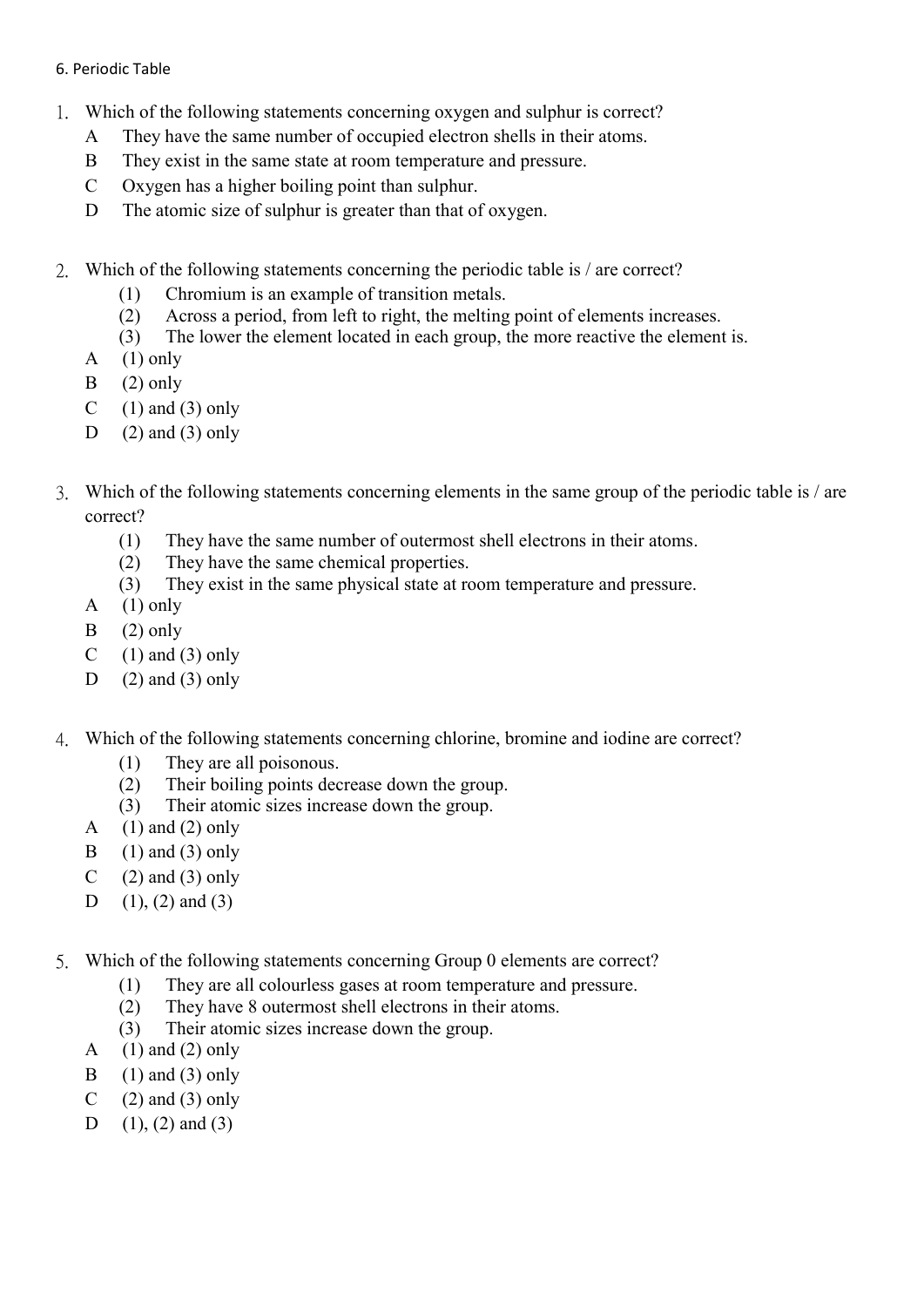## 6. Periodic Table

- 1. Which of the following statements concerning oxygen and sulphur is correct?
	- A They have the same number of occupied electron shells in their atoms.
	- B They exist in the same state at room temperature and pressure.
	- C Oxygen has a higher boiling point than sulphur.
	- D The atomic size of sulphur is greater than that of oxygen.
- 2. Which of the following statements concerning the periodic table is / are correct?
	- (1) Chromium is an example of transition metals.
	- (2) Across a period, from left to right, the melting point of elements increases.
	- (3) The lower the element located in each group, the more reactive the element is.
	- A  $(1)$  only
	- $B$  (2) only
	- C  $(1)$  and  $(3)$  only
	- D  $(2)$  and  $(3)$  only
- 3. Which of the following statements concerning elements in the same group of the periodic table is / are correct?
	- (1) They have the same number of outermost shell electrons in their atoms.
	- (2) They have the same chemical properties.
	- (3) They exist in the same physical state at room temperature and pressure.
	- $A \quad (1)$  only
	- $B$  (2) only
	- C  $(1)$  and  $(3)$  only
	- D  $(2)$  and  $(3)$  only
- 4. Which of the following statements concerning chlorine, bromine and iodine are correct?
	- (1) They are all poisonous.
	- (2) Their boiling points decrease down the group.
	- (3) Their atomic sizes increase down the group.
	- A  $(1)$  and  $(2)$  only
	- B  $(1)$  and  $(3)$  only
	- C  $(2)$  and  $(3)$  only
	- D  $(1)$ ,  $(2)$  and  $(3)$
- 5. Which of the following statements concerning Group 0 elements are correct?
	- (1) They are all colourless gases at room temperature and pressure.
	- (2) They have 8 outermost shell electrons in their atoms.
	- (3) Their atomic sizes increase down the group.
	- A  $(1)$  and  $(2)$  only
	- B  $(1)$  and  $(3)$  only
	- C  $(2)$  and  $(3)$  only
	- D  $(1)$ ,  $(2)$  and  $(3)$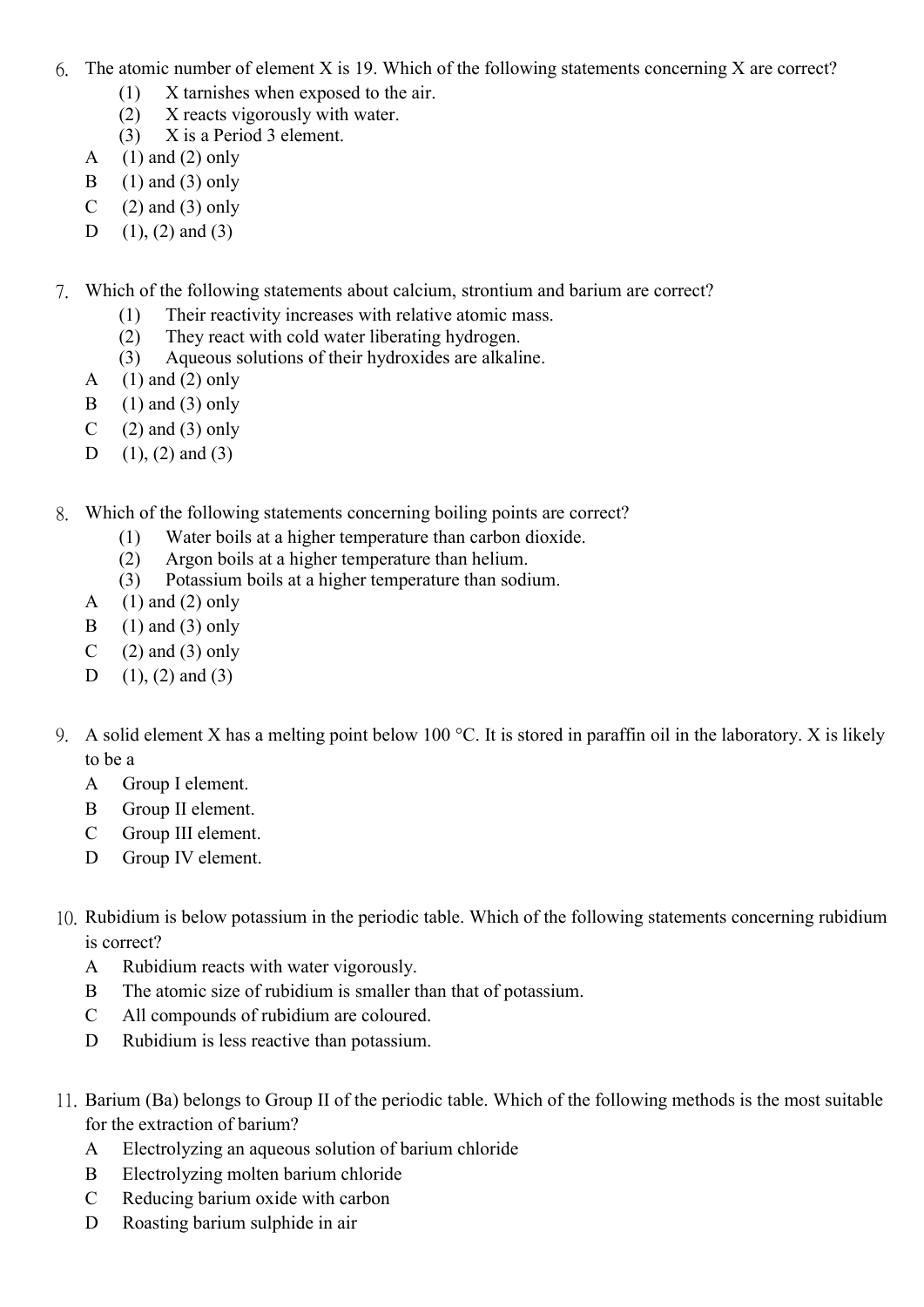- 6. The atomic number of element X is 19. Which of the following statements concerning X are correct?
	- (1) X tarnishes when exposed to the air.
	- (2) X reacts vigorously with water.
	- (3) X is a Period 3 element.
	- A  $(1)$  and  $(2)$  only
	- B  $(1)$  and  $(3)$  only
	- C  $(2)$  and  $(3)$  only
	- D  $(1)$ ,  $(2)$  and  $(3)$
- 7. Which of the following statements about calcium, strontium and barium are correct?
	- (1) Their reactivity increases with relative atomic mass.
	- (2) They react with cold water liberating hydrogen.
	- (3) Aqueous solutions of their hydroxides are alkaline.
	- A  $(1)$  and  $(2)$  only
	- $\text{B}$  (1) and (3) only
	- C  $(2)$  and  $(3)$  only
	- D  $(1)$ ,  $(2)$  and  $(3)$
- 8. Which of the following statements concerning boiling points are correct?
	- (1) Water boils at a higher temperature than carbon dioxide.
	- (2) Argon boils at a higher temperature than helium.
	- (3) Potassium boils at a higher temperature than sodium.
	- A  $(1)$  and  $(2)$  only
	- B  $(1)$  and  $(3)$  only
	- C  $(2)$  and  $(3)$  only
	- D  $(1)$ ,  $(2)$  and  $(3)$
- 9. A solid element X has a melting point below 100 °C. It is stored in paraffin oil in the laboratory. X is likely to be a
	- A Group I element.
	- B Group II element.
	- C Group III element.
	- D Group IV element.
- 10. Rubidium is below potassium in the periodic table. Which of the following statements concerning rubidium is correct?
	- A Rubidium reacts with water vigorously.
	- B The atomic size of rubidium is smaller than that of potassium.
	- C All compounds of rubidium are coloured.
	- D Rubidium is less reactive than potassium.
- 11. Barium (Ba) belongs to Group II of the periodic table. Which of the following methods is the most suitable for the extraction of barium?
	- A Electrolyzing an aqueous solution of barium chloride
	- B Electrolyzing molten barium chloride
	- C Reducing barium oxide with carbon
	- D Roasting barium sulphide in air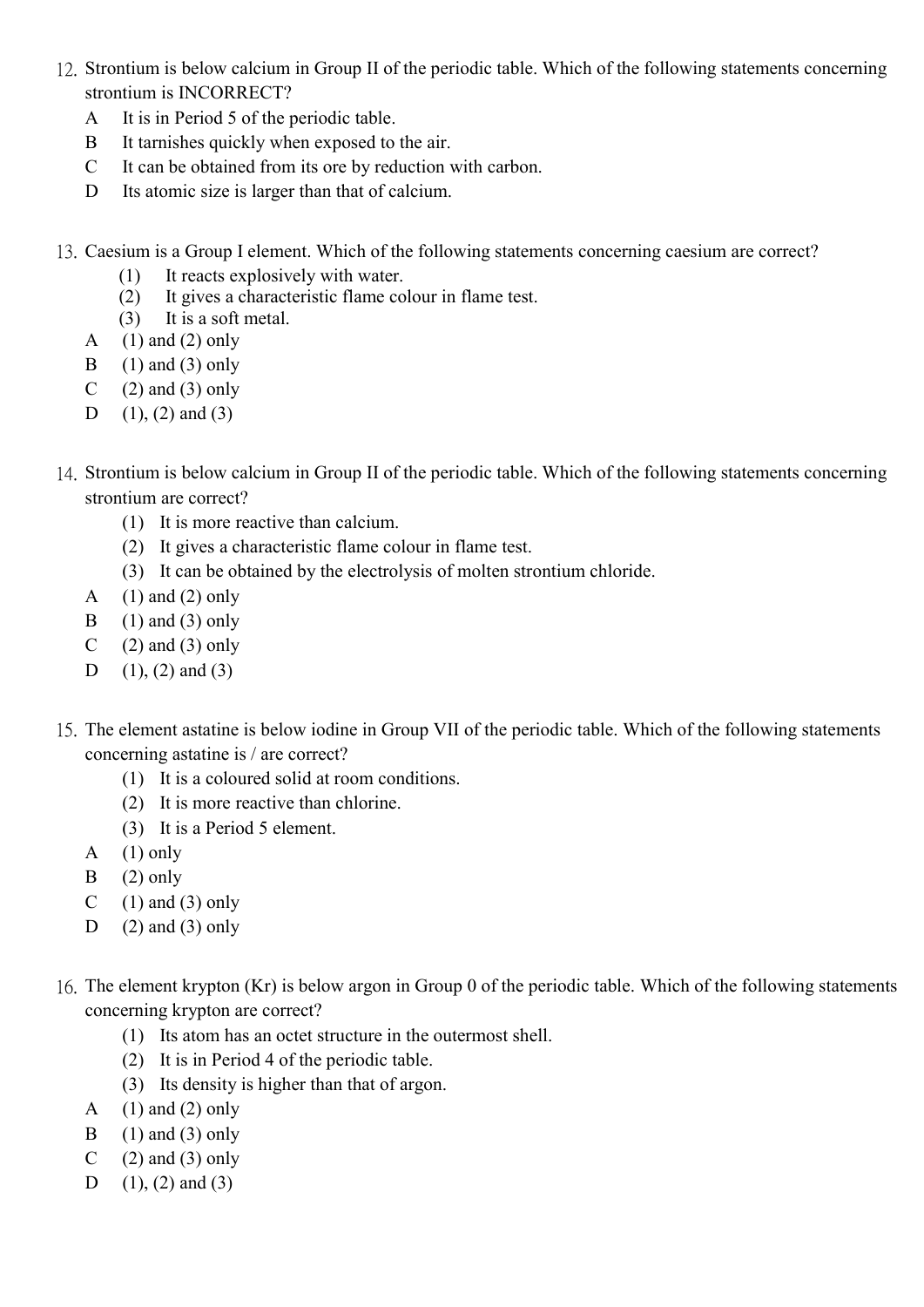- 12. Strontium is below calcium in Group II of the periodic table. Which of the following statements concerning strontium is INCORRECT?
	- A It is in Period 5 of the periodic table.
	- B It tarnishes quickly when exposed to the air.
	- C It can be obtained from its ore by reduction with carbon.
	- D Its atomic size is larger than that of calcium.
- 13. Caesium is a Group I element. Which of the following statements concerning caesium are correct?
	- (1) It reacts explosively with water.
	- (2) It gives a characteristic flame colour in flame test.
	- (3) It is a soft metal.
	- A  $(1)$  and  $(2)$  only
	- B  $(1)$  and  $(3)$  only
	- C  $(2)$  and  $(3)$  only
	- D  $(1)$ ,  $(2)$  and  $(3)$
- 14. Strontium is below calcium in Group II of the periodic table. Which of the following statements concerning strontium are correct?
	- (1) It is more reactive than calcium.
	- (2) It gives a characteristic flame colour in flame test.
	- (3) It can be obtained by the electrolysis of molten strontium chloride.
	- A  $(1)$  and  $(2)$  only
	- B  $(1)$  and  $(3)$  only
	- C  $(2)$  and  $(3)$  only
	- D  $(1)$ ,  $(2)$  and  $(3)$
- 15. The element astatine is below iodine in Group VII of the periodic table. Which of the following statements concerning astatine is / are correct?
	- (1) It is a coloured solid at room conditions.
	- (2) It is more reactive than chlorine.
	- (3) It is a Period 5 element.
	- A  $(1)$  only
	- $B$  (2) only
	- C  $(1)$  and  $(3)$  only
	- D  $(2)$  and  $(3)$  only
- 16. The element krypton (Kr) is below argon in Group 0 of the periodic table. Which of the following statements concerning krypton are correct?
	- (1) Its atom has an octet structure in the outermost shell.
	- (2) It is in Period 4 of the periodic table.
	- (3) Its density is higher than that of argon.
	- A  $(1)$  and  $(2)$  only
	- B  $(1)$  and  $(3)$  only
	- C  $(2)$  and  $(3)$  only
	- D  $(1)$ ,  $(2)$  and  $(3)$